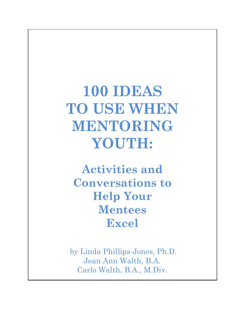**100 IDEAS TO USE WHEN MENTORING YOUTH:**

**Activities and Conversations to Help Your Mentees Excel**

by Linda Phillips-Jones, Ph.D. Jean Ann Walth, B.A. Carlo Walth, B.A., M.Div.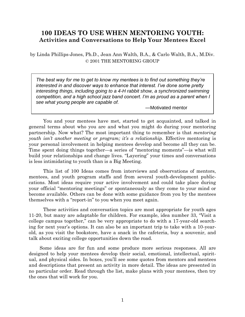# **100 IDEAS TO USE WHEN MENTORING YOUTH: Activities and Conversations to Help Your Mentees Excel**

by Linda Phillips-Jones, Ph.D., Jean Ann Walth, B.A., & Carlo Walth, B.A., M.Div. © 2001 THE MENTORING GROUP

*The best way for me to get to know my mentees is to find out something they're interested in and discover ways to enhance that interest. I've done some pretty interesting things, including going to a 4-H rabbit show, a synchronized swimming competition, and a high school jazz band concert. I'm as proud as a parent when I see what young people are capable of.* 

—Motivated mentor

You and your mentees have met, started to get acquainted, and talked in general terms about who you are and what you might do during your mentoring partnership. Now what? The most important thing to remember is that *mentoring youth isn't another meeting or program; it's a relationship*. Effective mentoring is your personal involvement in helping mentees develop and become all they can be. Time spent doing things together—a series of "mentoring moments"—is what will build your relationships and change lives. "Layering" your times and conversations is less intimidating to youth than is a Big Meeting.

This list of 100 Ideas comes from interviews and observations of mentors, mentees, and youth program staffs and from several youth-development publiccations. Most ideas require your active involvement and could take place during your official "mentoring meetings" or spontaneously as they come to your mind or become available. Others can be done with some guidance from you by the mentees themselves with a "report-in" to you when you meet again.

These activities and conversation topics are most appropriate for youth ages 11-20, but many are adaptable for children. For example, idea number 33, "Visit a college campus together," can be very appropriate to do with a 17-year-old searching for next year's options. It can also be an important trip to take with a 10-yearold, as you visit the bookstore, have a snack in the cafeteria, buy a souvenir, and talk about exciting college opportunities down the road.

Some ideas are for fun and some produce more serious responses. All are designed to help your mentees develop their social, emotional, intellectual, spiritual, and physical sides. In boxes, you'll see some quotes from mentors and mentees and descriptions that present an activity in more detail. The ideas are presented in no particular order. Read through the list, make plans with your mentees, then try the ones that will work for you.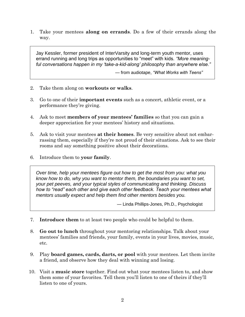1. Take your mentees **along on errands**. Do a few of their errands along the way.

Jay Kessler, former president of InterVarsity and long-term youth mentor, uses errand running and long trips as opportunities to "meet" with kids. *"More meaningful conversations happen in my 'take-a-kid-along' philosophy than anywhere else."*

— from audiotape, *"What Works with Teens"*

- 2. Take them along on **workouts or walks**.
- 3. Go to one of their **important events** such as a concert, athletic event, or a performance they're giving.
- 4. Ask to meet **members of your mentees' families** so that you can gain a deeper appreciation for your mentees' history and situations.
- 5. Ask to visit your mentees **at their homes**. Be very sensitive about not embarrassing them, especially if they're not proud of their situations. Ask to see their rooms and say something positive about their decorations.
- 6. Introduce them to **your family**.

*Over time, help your mentees figure out how to get the most from you: what you know how to do, why you want to mentor them, the boundaries you want to set, your pet peeves, and your typical styles of communicating and thinking. Discuss how to "read" each other and give each other feedback. Teach your mentees what mentors usually expect and help them find other mentors besides you.*

— Linda Phillips-Jones, Ph.D., Psychologist

- 7. **Introduce them** to at least two people who could be helpful to them.
- 8. **Go out to lunch** throughout your mentoring relationships. Talk about your mentees' families and friends, your family, events in your lives, movies, music, etc.
- 9. Play **board games, cards, darts, or pool** with your mentees. Let them invite a friend, and observe how they deal with winning and losing.
- 10. Visit a **music store** together. Find out what your mentees listen to, and show them some of your favorites. Tell them you'll listen to one of theirs if they'll listen to one of yours.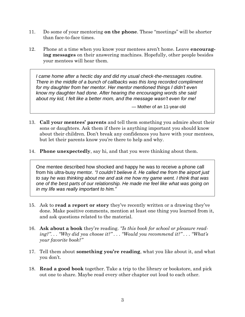- 11. Do some of your mentoring **on the phone**. These "meetings" will be shorter than face-to-face times.
- 12. Phone at a time when you know your mentees aren't home. Leave **encouraging messages** on their answering machines. Hopefully, other people besides your mentees will hear them.

*I came home after a hectic day and did my usual check-the-messages routine. There in the middle of a bunch of callbacks was this long recorded compliment for my daughter from her mentor. Her mentor mentioned things I didn't even know my daughter had done. After hearing the encouraging words she said about my kid, I felt like a better mom, and the message wasn't even for me!*

— Mother of an 11-year-old

- 13. **Call your mentees' parents** and tell them something you admire about their sons or daughters. Ask them if there is anything important you should know about their children. Don't break any confidences you have with your mentees, but let their parents know you're there to help and why.
- 14. **Phone unexpectedly**, say hi, and that you were thinking about them.

One mentee described how shocked and happy he was to receive a phone call from his ultra-busy mentor. *"I couldn't believe it. He called me from the airport just to say he was thinking about me and ask me how my game went. I think that was one of the best parts of our relationship. He made me feel like what was going on in my life was really important to him."*

- 15. Ask to **read a report or story** they've recently written or a drawing they've done. Make positive comments, mention at least one thing you learned from it, and ask questions related to the material.
- 16. **Ask about a book** they're reading. *"Is this book for school or pleasure reading?". . . "Why did you choose it?" . . . "Would you recommend it?" . . . "What's your favorite book?"*
- 17. Tell them about **something you're reading**, what you like about it, and what you don't.
- 18. **Read a good book** together. Take a trip to the library or bookstore, and pick out one to share. Maybe read every other chapter out loud to each other.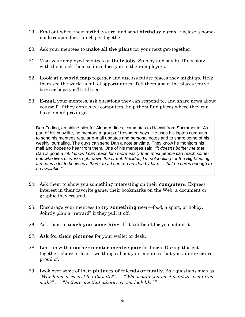- 19. Find out when their birthdays are, and send **birthday cards**. Enclose a homemade coupon for a lunch get-together.
- 20. Ask your mentees to **make all the plans** for your next get-together.
- 21. Visit your employed mentees **at their jobs**. Stop by and say hi. If it's okay with them, ask them to introduce you to their employers.
- 22. **Look at a world map** together and discuss future places they might go. Help them see the world is full of opportunities. Tell them about the places you've been or hope you'll still see.
- 23. **E-mail** your mentees, ask questions they can respond to, and share news about yourself. If they don't have computers, help them find places where they can have e-mail privileges.

Dan Fading, an airline pilot for Aloha Airlines, commutes to Hawaii from Sacramento. As part of his busy life, he mentors a group of freshmen boys. He uses his laptop computer to send his mentees regular e-mail updates and personal notes and to share some of his weekly journaling. The guys can send Dan a note anytime. They know he monitors his mail and hopes to hear from them. One of his mentees said, *"It doesn't bother me that Dan is gone a lot. I know I can reach him more easily than most people can reach someone who lives or works right down the street. Besides, I'm not looking for the Big Meeting. It means a lot to know he's there, that I can run an idea by him. . . that he cares enough to be available."* 

- 24. Ask them to show you something interesting on their **computer**s. Express interest in their favorite game, their bookmarks on the Web, a document or graphic they created.
- 25. Encourage your mentees to **try something new**—food, a sport, or hobby. Jointly plan a "reward" if they pull it off.
- 26. Ask them to **teach you something**. If it's difficult for you, admit it.
- 27. **Ask for their pictures** for your wallet or desk.
- 28. Link up with **another mentor-mentee pair** for lunch. During this gettogether, share at least two things about your mentees that you admire or are proud of.
- 29. Look over some of their **pictures of friends or family**. Ask questions such as: "*Which one is easiest to talk with?". . . "Who would you most want to spend time with?" . . .* "*Is there one that others say you look like?"*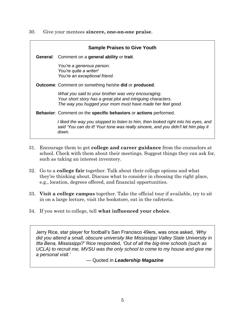30. Give your mentees **sincere, one-on-one praise**.

|  | <b>Sample Praises to Give Youth</b>                                                                                                                                              |
|--|----------------------------------------------------------------------------------------------------------------------------------------------------------------------------------|
|  | <b>General:</b> Comment on a general ability or trait.                                                                                                                           |
|  | You're a generous person.<br>You're quite a writer!<br>You're an exceptional friend.                                                                                             |
|  | <b>Outcome:</b> Comment on something he/she <b>did</b> or <b>produced</b> .                                                                                                      |
|  | What you said to your brother was very encouraging.<br>Your short story has a great plot and intriguing characters.<br>The way you hugged your mom must have made her feel good. |
|  | <b>Behavior:</b> Comment on the specific behaviors or actions performed.                                                                                                         |
|  | I liked the way you stopped to listen to him, then looked right into his eyes, and<br>said 'You can do it! Your tone was really sincere, and you didn't let him play it<br>down. |

- 31. Encourage them to get **college and career guidance** from the counselors at school. Check with them about their meetings. Suggest things they can ask for, such as taking an interest inventory.
- 32. Go to a **college fair** together. Talk about their college options and what they're thinking about. Discuss what to consider in choosing the right place, e.g., location, degrees offered, and financial opportunities.
- 33. **Visit a college campus** together. Take the official tour if available, try to sit in on a large lecture, visit the bookstore, eat in the cafeteria.
- 34. If you went to college, tell **what influenced your choice**.

Jerry Rice, star player for football's San Francisco 49ers, was once asked*, 'Why did you attend a small, obscure university like Mississippi Valley State University in Itta Bena, Mississippi?'* Rice responded, *'Out of all the big-time schools (such as UCLA) to recruit me, MVSU was the only school to come to my house and give me a personal visit.'*

— Quoted in *Leadership Magazine*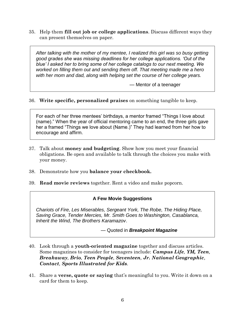35. Help them **fill out job or college applications**. Discuss different ways they can present themselves on paper.

*After talking with the mother of my mentee, I realized this girl was so busy getting good grades she was missing deadlines for her college applications. 'Out of the blue' I asked her to bring some of her college catalogs to our next meeting. We worked on filling them out and sending them off. That meeting made me a hero with her mom and dad, along with helping set the course of her college years.*

— Mentor of a teenager

# 36. **Write specific, personalized praises** on something tangible to keep.

For each of her three mentees' birthdays, a mentor framed "Things I love about (name)." When the year of official mentoring came to an end, the three girls gave her a framed "Things we love about (Name.)" They had learned from her how to encourage and affirm.

- 37. Talk about **money and budgeting**. Show how you meet your financial obligations. Be open and available to talk through the choices you make with your money.
- 38. Demonstrate how you **balance your checkbook.**
- 39. **Read movie reviews** together. Rent a video and make popcorn.

#### **A Few Movie Suggestions**

*Chariots of Fire, Les Miserables, Sergeant York, The Robe, The Hiding Place, Saving Grace, Tender Mercies, Mr. Smith Goes to Washington, Casablanca, Inherit the Wind, The Brothers Karamazov*.

— Quoted in *Breakpoint Magazine*

- 40. Look through a **youth-oriented magazine** together and discuss articles. Some magazines to consider for teenagers include: *Campus Life, YM, Teen, Breakaway, Brio, Teen People, Seventeen, Jr. National Geographic, Contact, Sports Illustrated for Kids.*
- 41. Share a **verse, quote or saying** that's meaningful to you. Write it down on a card for them to keep.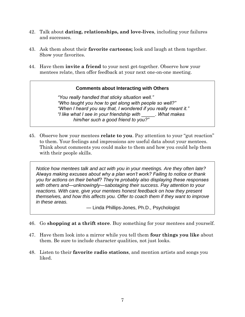- 42. Talk about **dating, relationships, and love-lives**, including your failures and successes.
- 43. Ask them about their **favorite cartoons;** look and laugh at them together. Show your favorites.
- 44. Have them **invite a friend** to your next get-together. Observe how your mentees relate, then offer feedback at your next one-on-one meeting.

# **Comments about Interacting with Others**

*"You really handled that sticky situation well." "Who taught you how to get along with people so well?" "When I heard you say that, I wondered if you really meant it." "I like what I see in your friendship with \_\_\_\_\_. What makes him/her such a good friend to you?"*

45. Observe how your mentees **relate to you**. Pay attention to your "gut reaction" to them. Your feelings and impressions are useful data about your mentees. Think about comments you could make to them and how you could help them with their people skills.

*Notice how mentees talk and act with you in your meetings. Are they often late? Always making excuses about why a plan won't work? Failing to notice or thank you for actions on their behalf? They're probably also displaying these responses with others and—unknowingly—sabotaging their success. Pay attention to your reactions. With care, give your mentees honest feedback on how they present themselves, and how this affects you. Offer to coach them if they want to improve in these areas.*

— Linda Phillips-Jones, Ph.D., Psychologist

- 46. Go **shopping at a thrift store**. Buy something for your mentees and yourself.
- 47. Have them look into a mirror while you tell them **four things you like** about them. Be sure to include character qualities, not just looks.
- 48. Listen to their **favorite radio stations**, and mention artists and songs you liked.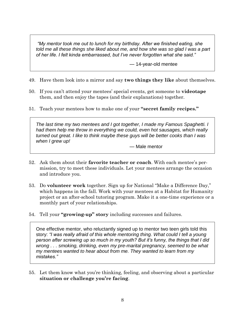*"My mentor took me out to lunch for my birthday. After we finished eating, she told me all these things she liked about me, and how she was so glad I was a part of her life. I felt kinda embarrassed, but I've never forgotten what she said."*

— 14-year-old mentee

- 49. Have them look into a mirror and say **two things they like** about themselves.
- 50. If you can't attend your mentees' special events, get someone to **videotape** them, and then enjoy the tapes (and their explanations) together.
- 51. Teach your mentees how to make one of your **"secret family recipes."**

*The last time my two mentees and I got together, I made my Famous Spaghetti. I had them help me throw in everything we could, even hot sausages, which really turned out great. I like to think maybe these guys will be better cooks than I was when I grew up!*

— Male mentor

- 52. Ask them about their **favorite teacher or coach**. With each mentee's permission, try to meet these individuals. Let your mentees arrange the occasion and introduce you.
- 53. Do **volunteer work** together. Sign up for National "Make a Difference Day," which happens in the fall. Work with your mentees at a Habitat for Humanity project or an after-school tutoring program. Make it a one-time experience or a monthly part of your relationships.
- 54. Tell your **"growing-up" story** including successes and failures.

One effective mentor, who reluctantly signed up to mentor two teen girls told this story: *"I was really afraid of this whole mentoring thing. What could I tell a young person after screwing up so much in my youth? But it's funny, the things that I did wrong . . . smoking, drinking, even my pre-marital pregnancy, seemed to be what my mentees wanted to hear about from me. They wanted to learn from my mistakes."*

55. Let them know what you're thinking, feeling, and observing about a particular **situation or challenge you're facing**.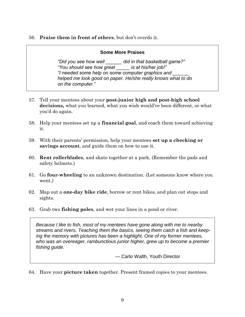### 56. **Praise them in front of others**, but don't overdo it.

### **Some More Praises**

*"Did you see how well \_\_\_\_\_\_ did in that basketball game?" "You should see how great \_\_\_\_\_ is at his/her job!" "I needed some help on some computer graphics and \_\_\_\_\_\_ helped me look good on paper. He/she really knows what to do on the computer."*

- 57. Tell your mentees about your **post-junior high and post-high school decisions,** what you learned, what you wish would've been different, or what you'd do again.
- 58. Help your mentees set up a **financial goal**, and coach them toward achieving it.
- 59. With their parents' permission, help your mentees **set up a checking or savings account**, and guide them on how to use it.
- 60. **Rent rollerblades**, and skate together at a park. (Remember the pads and safety helmets.)
- 61. Go **four-wheeling** to an unknown destination. (Let someone know where you went.)
- 62. Map out a **one-day bike ride**, borrow or rent bikes, and plan out stops and sights.
- 63. Grab two **fishing poles**, and wet your lines in a pond or river.

*Because I like to fish, most of my mentees have gone along with me to nearby streams and rivers. Teaching them the basics, seeing them catch a fish and keeping the memory with pictures has been a highlight. One of my former mentees, who was an overeager, rambunctious junior higher, grew up to become a premier fishing guide.* 

— Carlo Walth, Youth Director

64. Have your **picture taken** together. Present framed copies to your mentees.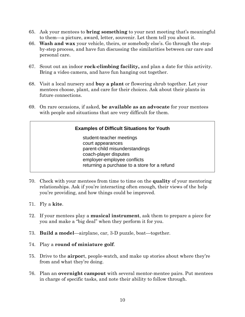- 65. Ask your mentees to **bring something** to your next meeting that's meaningful to them—a picture, award, letter, souvenir. Let them tell you about it.
- 66. **Wash and wax** your vehicle, theirs, or somebody else's. Go through the stepby-step process, and have fun discussing the similarities between car care and personal care.
- 67. Scout out an indoor **rock-climbing facility,** and plan a date for this activity. Bring a video camera, and have fun hanging out together.
- 68. Visit a local nursery and **buy a plant** or flowering shrub together. Let your mentees choose, plant, and care for their choices. Ask about their plants in future connections.
- 69. On rare occasions, if asked, **be available as an advocate** for your mentees with people and situations that are very difficult for them.

# **Examples of Difficult Situations for Youth**

student-teacher meetings court appearances parent-child misunderstandings coach-player disputes employer-employee conflicts returning a purchase to a store for a refund

- 70. Check with your mentees from time to time on the **quality** of your mentoring relationships. Ask if you're interacting often enough, their views of the help you're providing, and how things could be improved.
- 71. Fly a **kite**.
- 72. If your mentees play a **musical instrument**, ask them to prepare a piece for you and make a "big deal" when they perform it for you.
- 73. **Build a model**—airplane, car, 3-D puzzle, boat—together.
- 74. Play a **round of miniature golf**.
- 75. Drive to the **airpor**t, people-watch, and make up stories about where they're from and what they're doing.
- 76. Plan an **overnight campout** with several mentor-mentee pairs. Put mentees in charge of specific tasks, and note their ability to follow through.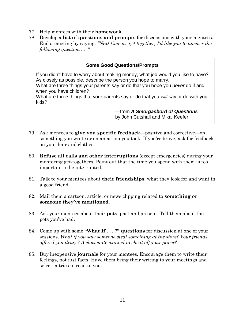- 77. Help mentees with their **homework**.
- 78. Develop a **list of questions and prompts** for discussions with your mentees. End a meeting by saying: *"Next time we get together, I'd like you to answer the following question . . ."*

### **Some Good Questions/Prompts**

If you didn't have to worry about making money, what job would you like to have? As closely as possible, describe the person you hope to marry.

What are three things your parents say or do that you hope you *never* do if and when you have children?

What are three things that your parents say or do that you *will* say or do with your kids?

> —from *A Smorgasbord of Questions* by John Cutshall and Mikal Keefer

- 79. Ask mentees to **give you specific feedback**—positive and corrective—on something you wrote or on an action you took. If you're brave, ask for feedback on your hair and clothes.
- 80. **Refuse all calls and other interruptions** (except emergencies) during your mentoring get-togethers. Point out that the time you spend with them is too important to be interrupted.
- 81. Talk to your mentees about **their friendships**, what they look for and want in a good friend.
- 82. Mail them a cartoon, article, or news clipping related to **something or someone they've mentioned.**
- 83. Ask your mentees about their **pets**, past and present. Tell them about the pets you've had.
- 84. Come up with some **"What If . . . ?" questions** for discussion at one of your sessions. *What if you saw someone steal something at the store? Your friends offered you drugs? A classmate wanted to cheat off your paper?*
- 85. Buy inexpensive **journals** for your mentees. Encourage them to write their feelings, not just facts. Have them bring their writing to your meetings and select entries to read to you.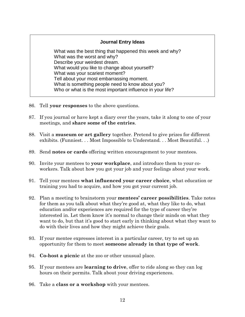# **Journal Entry Ideas**

What was the best thing that happened this week and why? What was the worst and why? Describe your weirdest dream. What would you like to change about yourself? What was your scariest moment? Tell about your most embarrassing moment. What is something people need to know about you? Who or what is the most important influence in your life?

- 86. Tell **your responses** to the above questions.
- 87. If you journal or have kept a diary over the years, take it along to one of your meetings, and **share some of the entries**.
- 88. Visit a **museum or art gallery** together. Pretend to give prizes for different exhibits. (Funniest. . . Most Impossible to Understand. . . Most Beautiful. . .)
- 89. Send **notes or cards** offering written encouragement to your mentees.
- 90. Invite your mentees to **your workplace**, and introduce them to your coworkers. Talk about how you got your job and your feelings about your work.
- 91. Tell your mentees **what influenced your career choice**, what education or training you had to acquire, and how you got your current job.
- 92. Plan a meeting to brainstorm your **mentees' career possibilities**. Take notes for them as you talk about what they're good at, what they like to do, what education and/or experiences are required for the type of career they're interested in. Let them know it's normal to change their minds on what they want to do, but that it's good to start early in thinking about what they want to do with their lives and how they might achieve their goals.
- 93. If your mentee expresses interest in a particular career, try to set up an opportunity for them to meet **someone already in that type of work**.
- 94. **Co-host a picnic** at the zoo or other unusual place.
- 95. If your mentees are **learning to drive**, offer to ride along so they can log hours on their permits. Talk about your driving experiences.
- 96. Take a **class or a workshop** with your mentees.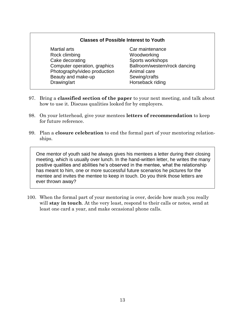#### **Classes of Possible Interest to Youth**

- Martial arts **Car maintenance** Rock climbing Noodworking Cake decorating Sports workshops Computer operation, graphics Ballroom/western/rock dancing Photography/video production Animal care Beauty and make-up Sewing/crafts Drawing/art **Horseback** riding
	-
- 97. Bring a **classified section of the paper** to your next meeting, and talk about how to use it. Discuss qualities looked for by employers.
- 98. On your letterhead, give your mentees **letters of recommendation** to keep for future reference.
- 99. Plan a **closure celebration** to end the formal part of your mentoring relationships.

One mentor of youth said he always gives his mentees a letter during their closing meeting, which is usually over lunch. In the hand-written letter, he writes the many positive qualities and abilities he's observed in the mentee, what the relationship has meant to him, one or more successful future scenarios he pictures for the mentee and invites the mentee to keep in touch. Do you think those letters are ever thrown away?

100. When the formal part of your mentoring is over, decide how much you really will **stay in touch**. At the very least, respond to their calls or notes, send at least one card a year, and make occasional phone calls.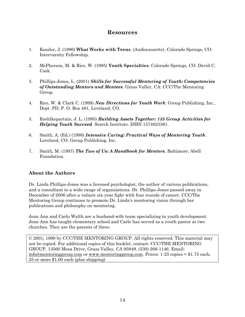# **Resources**

- 1. Kessler, J. (1996) **What Works with Teens**. (Audiocassette). Colorado Springs, CO: Intervarsity Fellowship.
- 2. McPherson, M. & Rice, W. (1995) **Youth Specialties**. Colorado Springs, CO: David C. Cook.
- 3. Phillips-Jones, L. (2001) *Skills for Successful Mentoring of Youth: Competencies of Outstanding Mentors and Mentees*. Grass Valley, CA: CCC/The Mentoring Group.
- 4. Rice, W. & Clark C. (1998) *New Directions for Youth Work*. Group Publishing, Inc., Dept. PD, P. O. Box 481, Loveland, CO.
- 5. Roehlkepartain, J. L. (1995) *Building Assets Together: 135 Group Activities for Helping Youth Succeed*. Search Institute. ISBN 1574823361.
- 6. Smith, A. (Ed.) (1998) *Intensive Caring: Practical Ways of Mentoring Youth*. Loveland, CO: Group Publishing, Inc.
- 7. Smith, M. (1997) *The Two of Us: A Handbook for Mentors*. Baltimore: Abell Foundation.

# **About the Authors**

Dr. Linda Phillips-Jones was a licensed psychologist, the author of various publications, and a consultant to a wide range of organizations. Dr. Phillips-Jones passed away in December of 2006 after a valiant six-year fight with four rounds of cancer. CCC/The Mentoring Group continues to promote Dr. Linda's mentoring vision through her publications and philosophy on mentoring.

Jean Ann and Carlo Walth are a husband-wife team specializing in youth development. Jean Ann has taught elementary school and Carlo has served as a youth pastor at two churches. They are the parents of three.

© 2001, 1999 by CCC/THE MENTORING GROUP. All rights reserved. This material may not be copied. For additional copies of this booklet, contact: CCC/THE MENTORING GROUP, 13560 Mesa Drive, Grass Valley, CA 95949, (530) 268-1146. Email: [info@mentoringgroup.com](mailto:info@mentoringgroup.com) or [www.mentoringgroup.com.](http://www.mentoringgroup.com/) Prices: 1-25 copies = \$1.75 each, 25 or more \$1.00 each (plus shipping)